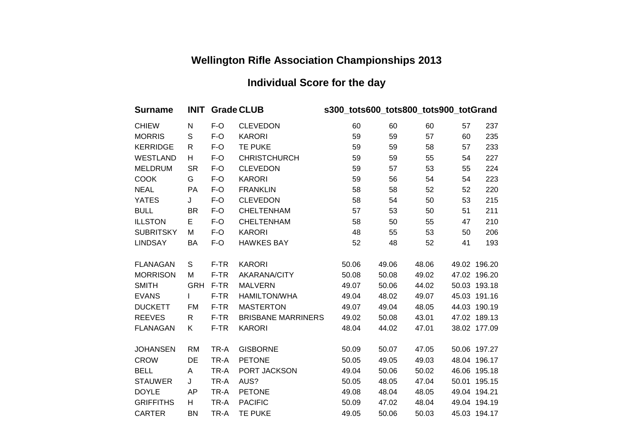## **Wellington Rifle Association Championships 2013**

## **Individual Score for the day**

| <b>Surname</b>   | <b>INIT</b>  |       | <b>Grade CLUB</b>         | s300_tots600_tots800_tots900_totGrand |       |       |    |              |
|------------------|--------------|-------|---------------------------|---------------------------------------|-------|-------|----|--------------|
| <b>CHIEW</b>     | N            | F-O   | <b>CLEVEDON</b>           | 60                                    | 60    | 60    | 57 | 237          |
| <b>MORRIS</b>    | $\mathbb S$  | F-O   | <b>KARORI</b>             | 59                                    | 59    | 57    | 60 | 235          |
| <b>KERRIDGE</b>  | $\mathsf{R}$ | $F-O$ | <b>TE PUKE</b>            | 59                                    | 59    | 58    | 57 | 233          |
| <b>WESTLAND</b>  | H            | $F-O$ | <b>CHRISTCHURCH</b>       | 59                                    | 59    | 55    | 54 | 227          |
| <b>MELDRUM</b>   | <b>SR</b>    | $F-O$ | <b>CLEVEDON</b>           | 59                                    | 57    | 53    | 55 | 224          |
| <b>COOK</b>      | G            | $F-O$ | <b>KARORI</b>             | 59                                    | 56    | 54    | 54 | 223          |
| <b>NEAL</b>      | PA           | $F-O$ | <b>FRANKLIN</b>           | 58                                    | 58    | 52    | 52 | 220          |
| <b>YATES</b>     | J            | $F-O$ | <b>CLEVEDON</b>           | 58                                    | 54    | 50    | 53 | 215          |
| <b>BULL</b>      | <b>BR</b>    | F-O   | <b>CHELTENHAM</b>         | 57                                    | 53    | 50    | 51 | 211          |
| <b>ILLSTON</b>   | E            | $F-O$ | <b>CHELTENHAM</b>         | 58                                    | 50    | 55    | 47 | 210          |
| <b>SUBRITSKY</b> | M            | F-O   | <b>KARORI</b>             | 48                                    | 55    | 53    | 50 | 206          |
| <b>LINDSAY</b>   | BA           | F-O   | <b>HAWKES BAY</b>         | 52                                    | 48    | 52    | 41 | 193          |
| <b>FLANAGAN</b>  | S            | F-TR  | <b>KARORI</b>             | 50.06                                 | 49.06 | 48.06 |    | 49.02 196.20 |
| <b>MORRISON</b>  | M            | F-TR  | AKARANA/CITY              | 50.08                                 | 50.08 | 49.02 |    | 47.02 196.20 |
| <b>SMITH</b>     | <b>GRH</b>   | F-TR  | <b>MALVERN</b>            | 49.07                                 | 50.06 | 44.02 |    | 50.03 193.18 |
| <b>EVANS</b>     | L            | F-TR  | <b>HAMILTON/WHA</b>       | 49.04                                 | 48.02 | 49.07 |    | 45.03 191.16 |
| <b>DUCKETT</b>   | FM           | F-TR  | <b>MASTERTON</b>          | 49.07                                 | 49.04 | 48.05 |    | 44.03 190.19 |
| <b>REEVES</b>    | R            | F-TR  | <b>BRISBANE MARRINERS</b> | 49.02                                 | 50.08 | 43.01 |    | 47.02 189.13 |
| <b>FLANAGAN</b>  | K            | F-TR  | <b>KARORI</b>             | 48.04                                 | 44.02 | 47.01 |    | 38.02 177.09 |
| <b>JOHANSEN</b>  | <b>RM</b>    | TR-A  | <b>GISBORNE</b>           | 50.09                                 | 50.07 | 47.05 |    | 50.06 197.27 |
| <b>CROW</b>      | DE           | TR-A  | <b>PETONE</b>             | 50.05                                 | 49.05 | 49.03 |    | 48.04 196.17 |
| <b>BELL</b>      | A            | TR-A  | PORT JACKSON              | 49.04                                 | 50.06 | 50.02 |    | 46.06 195.18 |
| <b>STAUWER</b>   | J            | TR-A  | AUS?                      | 50.05                                 | 48.05 | 47.04 |    | 50.01 195.15 |
| <b>DOYLE</b>     | AP           | TR-A  | <b>PETONE</b>             | 49.08                                 | 48.04 | 48.05 |    | 49.04 194.21 |
| <b>GRIFFITHS</b> | H            | TR-A  | <b>PACIFIC</b>            | 50.09                                 | 47.02 | 48.04 |    | 49.04 194.19 |
| <b>CARTER</b>    | <b>BN</b>    | TR-A  | <b>TE PUKE</b>            | 49.05                                 | 50.06 | 50.03 |    | 45.03 194.17 |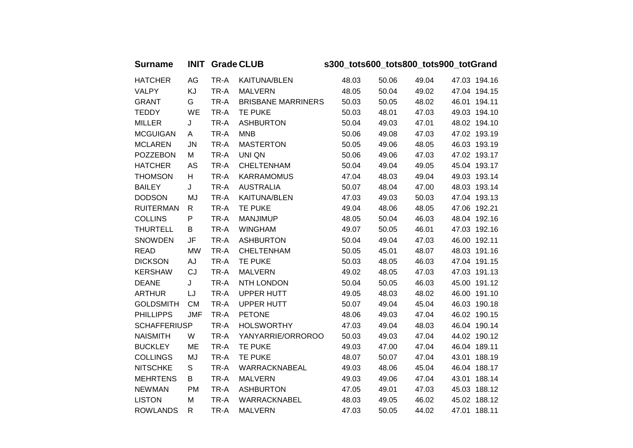| Surname INIT Grade CLUB | s300 tots600 tots800 tots900 totGrand |
|-------------------------|---------------------------------------|
|                         |                                       |

| <b>HATCHER</b>      | AG         | TR-A | KAITUNA/BLEN              | 48.03 | 50.06 | 49.04 | 47.03 194.16 |
|---------------------|------------|------|---------------------------|-------|-------|-------|--------------|
| <b>VALPY</b>        | KJ         | TR-A | <b>MALVERN</b>            | 48.05 | 50.04 | 49.02 | 47.04 194.15 |
| <b>GRANT</b>        | G          | TR-A | <b>BRISBANE MARRINERS</b> | 50.03 | 50.05 | 48.02 | 46.01 194.11 |
| <b>TEDDY</b>        | WE         | TR-A | TE PUKE                   | 50.03 | 48.01 | 47.03 | 49.03 194.10 |
| <b>MILLER</b>       | J          | TR-A | <b>ASHBURTON</b>          | 50.04 | 49.03 | 47.01 | 48.02 194.10 |
| <b>MCGUIGAN</b>     | A          | TR-A | <b>MNB</b>                | 50.06 | 49.08 | 47.03 | 47.02 193.19 |
| <b>MCLAREN</b>      | <b>JN</b>  | TR-A | <b>MASTERTON</b>          | 50.05 | 49.06 | 48.05 | 46.03 193.19 |
| <b>POZZEBON</b>     | M          | TR-A | UNI QN                    | 50.06 | 49.06 | 47.03 | 47.02 193.17 |
| <b>HATCHER</b>      | AS         | TR-A | <b>CHELTENHAM</b>         | 50.04 | 49.04 | 49.05 | 45.04 193.17 |
| <b>THOMSON</b>      | H          | TR-A | <b>KARRAMOMUS</b>         | 47.04 | 48.03 | 49.04 | 49.03 193.14 |
| <b>BAILEY</b>       | J          | TR-A | <b>AUSTRALIA</b>          | 50.07 | 48.04 | 47.00 | 48.03 193.14 |
| <b>DODSON</b>       | MJ         | TR-A | KAITUNA/BLEN              | 47.03 | 49.03 | 50.03 | 47.04 193.13 |
| <b>RUITERMAN</b>    | R          | TR-A | <b>TE PUKE</b>            | 49.04 | 48.06 | 48.05 | 47.06 192.21 |
| <b>COLLINS</b>      | P          | TR-A | <b>MANJIMUP</b>           | 48.05 | 50.04 | 46.03 | 48.04 192.16 |
| <b>THURTELL</b>     | B          | TR-A | <b>WINGHAM</b>            | 49.07 | 50.05 | 46.01 | 47.03 192.16 |
| <b>SNOWDEN</b>      | JF         | TR-A | <b>ASHBURTON</b>          | 50.04 | 49.04 | 47.03 | 46.00 192.11 |
| <b>READ</b>         | MW         | TR-A | <b>CHELTENHAM</b>         | 50.05 | 45.01 | 48.07 | 48.03 191.16 |
| <b>DICKSON</b>      | AJ         | TR-A | TE PUKE                   | 50.03 | 48.05 | 46.03 | 47.04 191.15 |
| <b>KERSHAW</b>      | CJ         | TR-A | <b>MALVERN</b>            | 49.02 | 48.05 | 47.03 | 47.03 191.13 |
| <b>DEANE</b>        | J          | TR-A | NTH LONDON                | 50.04 | 50.05 | 46.03 | 45.00 191.12 |
| <b>ARTHUR</b>       | LJ         | TR-A | UPPER HUTT                | 49.05 | 48.03 | 48.02 | 46.00 191.10 |
| <b>GOLDSMITH</b>    | <b>CM</b>  | TR-A | <b>UPPER HUTT</b>         | 50.07 | 49.04 | 45.04 | 46.03 190.18 |
| <b>PHILLIPPS</b>    | <b>JMF</b> | TR-A | <b>PETONE</b>             | 48.06 | 49.03 | 47.04 | 46.02 190.15 |
| <b>SCHAFFERIUSP</b> |            | TR-A | <b>HOLSWORTHY</b>         | 47.03 | 49.04 | 48.03 | 46.04 190.14 |
| <b>NAISMITH</b>     | W          | TR-A | YANYARRIE/ORROROO         | 50.03 | 49.03 | 47.04 | 44.02 190.12 |
| <b>BUCKLEY</b>      | ME         | TR-A | TE PUKE                   | 49.03 | 47.00 | 47.04 | 46.04 189.11 |
| <b>COLLINGS</b>     | MJ         | TR-A | TE PUKE                   | 48.07 | 50.07 | 47.04 | 43.01 188.19 |
| <b>NITSCHKE</b>     | S          | TR-A | WARRACKNABEAL             | 49.03 | 48.06 | 45.04 | 46.04 188.17 |
| <b>MEHRTENS</b>     | B          | TR-A | <b>MALVERN</b>            | 49.03 | 49.06 | 47.04 | 43.01 188.14 |
| <b>NEWMAN</b>       | PM         | TR-A | <b>ASHBURTON</b>          | 47.05 | 49.01 | 47.03 | 45.03 188.12 |
| <b>LISTON</b>       | M          | TR-A | WARRACKNABEL              | 48.03 | 49.05 | 46.02 | 45.02 188.12 |
| <b>ROWLANDS</b>     | R          | TR-A | <b>MALVERN</b>            | 47.03 | 50.05 | 44.02 | 47.01 188.11 |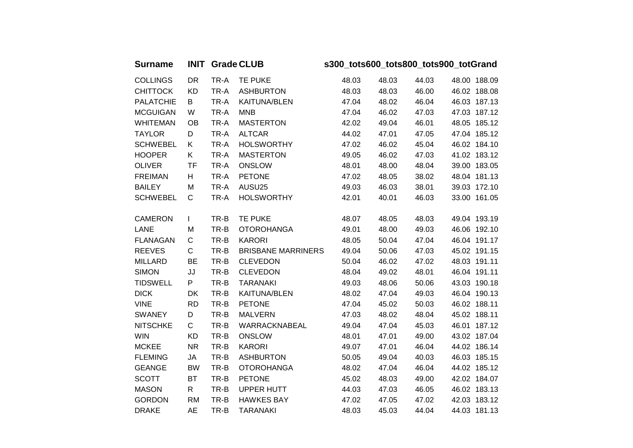| <b>Surname</b>   | <b>INIT</b> |      | <b>Grade CLUB</b>         | s300_tots600_tots800_tots900_totGrand |       |       |              |  |  |
|------------------|-------------|------|---------------------------|---------------------------------------|-------|-------|--------------|--|--|
| <b>COLLINGS</b>  | DR          | TR-A | <b>TE PUKE</b>            | 48.03                                 | 48.03 | 44.03 | 48.00 188.09 |  |  |
| <b>CHITTOCK</b>  | <b>KD</b>   | TR-A | <b>ASHBURTON</b>          | 48.03                                 | 48.03 | 46.00 | 46.02 188.08 |  |  |
| <b>PALATCHIE</b> | B           | TR-A | <b>KAITUNA/BLEN</b>       | 47.04                                 | 48.02 | 46.04 | 46.03 187.13 |  |  |
| <b>MCGUIGAN</b>  | W           | TR-A | <b>MNB</b>                | 47.04                                 | 46.02 | 47.03 | 47.03 187.12 |  |  |
| <b>WHITEMAN</b>  | <b>OB</b>   | TR-A | <b>MASTERTON</b>          | 42.02                                 | 49.04 | 46.01 | 48.05 185.12 |  |  |
| <b>TAYLOR</b>    | D           | TR-A | <b>ALTCAR</b>             | 44.02                                 | 47.01 | 47.05 | 47.04 185.12 |  |  |
| <b>SCHWEBEL</b>  | K           | TR-A | <b>HOLSWORTHY</b>         | 47.02                                 | 46.02 | 45.04 | 46.02 184.10 |  |  |
| <b>HOOPER</b>    | Κ           | TR-A | <b>MASTERTON</b>          | 49.05                                 | 46.02 | 47.03 | 41.02 183.12 |  |  |
| <b>OLIVER</b>    | TF          | TR-A | <b>ONSLOW</b>             | 48.01                                 | 48.00 | 48.04 | 39.00 183.05 |  |  |
| <b>FREIMAN</b>   | Н           | TR-A | <b>PETONE</b>             | 47.02                                 | 48.05 | 38.02 | 48.04 181.13 |  |  |
| <b>BAILEY</b>    | M           | TR-A | AUSU25                    | 49.03                                 | 46.03 | 38.01 | 39.03 172.10 |  |  |
| <b>SCHWEBEL</b>  | C           | TR-A | <b>HOLSWORTHY</b>         | 42.01                                 | 40.01 | 46.03 | 33.00 161.05 |  |  |
|                  |             |      |                           |                                       |       |       |              |  |  |
| <b>CAMERON</b>   | L           | TR-B | TE PUKE                   | 48.07                                 | 48.05 | 48.03 | 49.04 193.19 |  |  |
| LANE             | M           | TR-B | <b>OTOROHANGA</b>         | 49.01                                 | 48.00 | 49.03 | 46.06 192.10 |  |  |
| <b>FLANAGAN</b>  | $\mathsf C$ | TR-B | <b>KARORI</b>             | 48.05                                 | 50.04 | 47.04 | 46.04 191.17 |  |  |
| <b>REEVES</b>    | $\mathsf C$ | TR-B | <b>BRISBANE MARRINERS</b> | 49.04                                 | 50.06 | 47.03 | 45.02 191.15 |  |  |
| <b>MILLARD</b>   | BE          | TR-B | <b>CLEVEDON</b>           | 50.04                                 | 46.02 | 47.02 | 48.03 191.11 |  |  |
| <b>SIMON</b>     | JJ          | TR-B | <b>CLEVEDON</b>           | 48.04                                 | 49.02 | 48.01 | 46.04 191.11 |  |  |
| <b>TIDSWELL</b>  | P           | TR-B | <b>TARANAKI</b>           | 49.03                                 | 48.06 | 50.06 | 43.03 190.18 |  |  |
| <b>DICK</b>      | DK          | TR-B | <b>KAITUNA/BLEN</b>       | 48.02                                 | 47.04 | 49.03 | 46.04 190.13 |  |  |
| <b>VINE</b>      | <b>RD</b>   | TR-B | <b>PETONE</b>             | 47.04                                 | 45.02 | 50.03 | 46.02 188.11 |  |  |
| <b>SWANEY</b>    | D           | TR-B | <b>MALVERN</b>            | 47.03                                 | 48.02 | 48.04 | 45.02 188.11 |  |  |
| <b>NITSCHKE</b>  | $\mathsf C$ | TR-B | WARRACKNABEAL             | 49.04                                 | 47.04 | 45.03 | 46.01 187.12 |  |  |
| <b>WIN</b>       | <b>KD</b>   | TR-B | <b>ONSLOW</b>             | 48.01                                 | 47.01 | 49.00 | 43.02 187.04 |  |  |
| <b>MCKEE</b>     | <b>NR</b>   | TR-B | <b>KARORI</b>             | 49.07                                 | 47.01 | 46.04 | 44.02 186.14 |  |  |
| <b>FLEMING</b>   | JA          | TR-B | <b>ASHBURTON</b>          | 50.05                                 | 49.04 | 40.03 | 46.03 185.15 |  |  |
| <b>GEANGE</b>    | <b>BW</b>   | TR-B | <b>OTOROHANGA</b>         | 48.02                                 | 47.04 | 46.04 | 44.02 185.12 |  |  |
| <b>SCOTT</b>     | <b>BT</b>   | TR-B | <b>PETONE</b>             | 45.02                                 | 48.03 | 49.00 | 42.02 184.07 |  |  |
| <b>MASON</b>     | R           | TR-B | <b>UPPER HUTT</b>         | 44.03                                 | 47.03 | 46.05 | 46.02 183.13 |  |  |
| <b>GORDON</b>    | <b>RM</b>   | TR-B | <b>HAWKES BAY</b>         | 47.02                                 | 47.05 | 47.02 | 42.03 183.12 |  |  |
| <b>DRAKE</b>     | <b>AE</b>   | TR-B | <b>TARANAKI</b>           | 48.03                                 | 45.03 | 44.04 | 44.03 181.13 |  |  |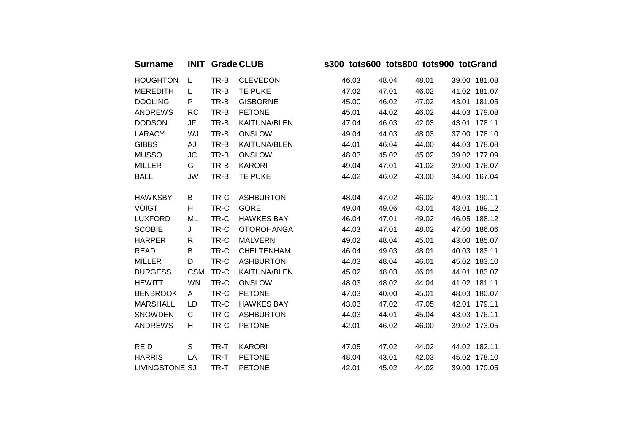| <b>INIT Grade CLUB</b> | Surname |
|------------------------|---------|
|                        |         |

**Surname INIT Grade CLUB s300\_tots600\_tots800\_tots900\_totGrand**

| <b>HOUGHTON</b>       | L.         | TR-B | <b>CLEVEDON</b>     | 46.03 | 48.04 | 48.01 | 39.00 181.08 |
|-----------------------|------------|------|---------------------|-------|-------|-------|--------------|
| <b>MEREDITH</b>       | L.         | TR-B | <b>TE PUKE</b>      | 47.02 | 47.01 | 46.02 | 41.02 181.07 |
| <b>DOOLING</b>        | P          | TR-B | <b>GISBORNE</b>     | 45.00 | 46.02 | 47.02 | 43.01 181.05 |
| <b>ANDREWS</b>        | <b>RC</b>  | TR-B | <b>PETONE</b>       | 45.01 | 44.02 | 46.02 | 44.03 179.08 |
| <b>DODSON</b>         | JF         | TR-B | <b>KAITUNA/BLEN</b> | 47.04 | 46.03 | 42.03 | 43.01 178.11 |
| <b>LARACY</b>         | WJ         | TR-B | <b>ONSLOW</b>       | 49.04 | 44.03 | 48.03 | 37.00 178.10 |
| <b>GIBBS</b>          | AJ         | TR-B | <b>KAITUNA/BLEN</b> | 44.01 | 46.04 | 44.00 | 44.03 178.08 |
| <b>MUSSO</b>          | <b>JC</b>  | TR-B | <b>ONSLOW</b>       | 48.03 | 45.02 | 45.02 | 39.02 177.09 |
| <b>MILLER</b>         | G          | TR-B | <b>KARORI</b>       | 49.04 | 47.01 | 41.02 | 39.00 176.07 |
| <b>BALL</b>           | JW         | TR-B | <b>TE PUKE</b>      | 44.02 | 46.02 | 43.00 | 34.00 167.04 |
|                       |            |      |                     |       |       |       |              |
| <b>HAWKSBY</b>        | В          | TR-C | <b>ASHBURTON</b>    | 48.04 | 47.02 | 46.02 | 49.03 190.11 |
| <b>VOIGT</b>          | H          | TR-C | <b>GORE</b>         | 49.04 | 49.06 | 43.01 | 48.01 189.12 |
| <b>LUXFORD</b>        | ML         | TR-C | <b>HAWKES BAY</b>   | 46.04 | 47.01 | 49.02 | 46.05 188.12 |
| <b>SCOBIE</b>         | J          | TR-C | <b>OTOROHANGA</b>   | 44.03 | 47.01 | 48.02 | 47.00 186.06 |
| <b>HARPER</b>         | R          | TR-C | <b>MALVERN</b>      | 49.02 | 48.04 | 45.01 | 43.00 185.07 |
| <b>READ</b>           | B          | TR-C | <b>CHELTENHAM</b>   | 46.04 | 49.03 | 48.01 | 40.03 183.11 |
| <b>MILLER</b>         | D          | TR-C | <b>ASHBURTON</b>    | 44.03 | 48.04 | 46.01 | 45.02 183.10 |
| <b>BURGESS</b>        | <b>CSM</b> | TR-C | <b>KAITUNA/BLEN</b> | 45.02 | 48.03 | 46.01 | 44.01 183.07 |
| <b>HEWITT</b>         | <b>WN</b>  | TR-C | <b>ONSLOW</b>       | 48.03 | 48.02 | 44.04 | 41.02 181.11 |
| <b>BENBROOK</b>       | A          | TR-C | <b>PETONE</b>       | 47.03 | 40.00 | 45.01 | 48.03 180.07 |
| <b>MARSHALL</b>       | LD         | TR-C | <b>HAWKES BAY</b>   | 43.03 | 47.02 | 47.05 | 42.01 179.11 |
| <b>SNOWDEN</b>        | C          | TR-C | <b>ASHBURTON</b>    | 44.03 | 44.01 | 45.04 | 43.03 176.11 |
| <b>ANDREWS</b>        | H          | TR-C | <b>PETONE</b>       | 42.01 | 46.02 | 46.00 | 39.02 173.05 |
|                       |            |      |                     |       |       |       |              |
| <b>REID</b>           | S          | TR-T | <b>KARORI</b>       | 47.05 | 47.02 | 44.02 | 44.02 182.11 |
| <b>HARRIS</b>         | LA         | TR-T | <b>PETONE</b>       | 48.04 | 43.01 | 42.03 | 45.02 178.10 |
| <b>LIVINGSTONE SJ</b> |            | TR-T | <b>PETONE</b>       | 42.01 | 45.02 | 44.02 | 39.00 170.05 |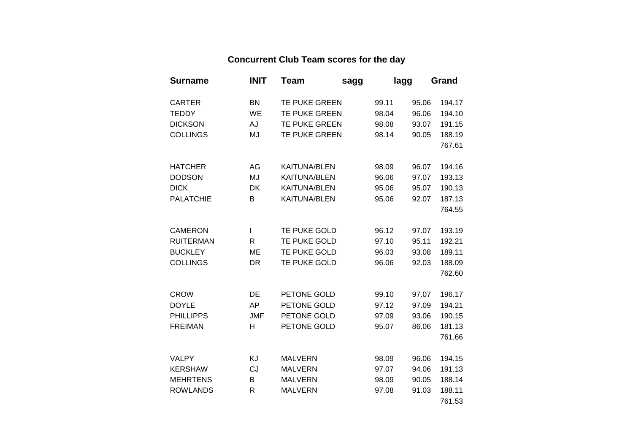## **Concurrent Club Team scores for the day**

| <b>Surname</b>   | <b>INIT</b>  | <b>Team</b>          | sagg | lagg  |       | Grand  |
|------------------|--------------|----------------------|------|-------|-------|--------|
| <b>CARTER</b>    | <b>BN</b>    | TE PUKE GREEN        |      | 99.11 | 95.06 | 194.17 |
| <b>TEDDY</b>     | WE           | TE PUKE GREEN        |      | 98.04 | 96.06 | 194.10 |
| <b>DICKSON</b>   | AJ           | <b>TE PUKE GREEN</b> |      | 98.08 | 93.07 | 191.15 |
| <b>COLLINGS</b>  | MJ           | TE PUKE GREEN        |      | 98.14 | 90.05 | 188.19 |
|                  |              |                      |      |       |       | 767.61 |
| <b>HATCHER</b>   | AG           | <b>KAITUNA/BLEN</b>  |      | 98.09 | 96.07 | 194.16 |
| <b>DODSON</b>    | MJ           | <b>KAITUNA/BLEN</b>  |      | 96.06 | 97.07 | 193.13 |
| <b>DICK</b>      | DK           | <b>KAITUNA/BLEN</b>  |      | 95.06 | 95.07 | 190.13 |
| <b>PALATCHIE</b> | B            | <b>KAITUNA/BLEN</b>  |      | 95.06 | 92.07 | 187.13 |
|                  |              |                      |      |       |       | 764.55 |
| <b>CAMERON</b>   | L            | TE PUKE GOLD         |      | 96.12 | 97.07 | 193.19 |
| <b>RUITERMAN</b> | $\mathsf{R}$ | TE PUKE GOLD         |      | 97.10 | 95.11 | 192.21 |
| <b>BUCKLEY</b>   | ME           | TE PUKE GOLD         |      | 96.03 | 93.08 | 189.11 |
| <b>COLLINGS</b>  | <b>DR</b>    | TE PUKE GOLD         |      | 96.06 | 92.03 | 188.09 |
|                  |              |                      |      |       |       | 762.60 |
| <b>CROW</b>      | DE           | PETONE GOLD          |      | 99.10 | 97.07 | 196.17 |
| <b>DOYLE</b>     | AP           | PETONE GOLD          |      | 97.12 | 97.09 | 194.21 |
| <b>PHILLIPPS</b> | <b>JMF</b>   | PETONE GOLD          |      | 97.09 | 93.06 | 190.15 |
| <b>FREIMAN</b>   | Н            | PETONE GOLD          |      | 95.07 | 86.06 | 181.13 |
|                  |              |                      |      |       |       | 761.66 |
| <b>VALPY</b>     | <b>KJ</b>    | <b>MALVERN</b>       |      | 98.09 | 96.06 | 194.15 |
| <b>KERSHAW</b>   | CJ           | <b>MALVERN</b>       |      | 97.07 | 94.06 | 191.13 |
| <b>MEHRTENS</b>  | B            | <b>MALVERN</b>       |      | 98.09 | 90.05 | 188.14 |
| <b>ROWLANDS</b>  | R            | <b>MALVERN</b>       |      | 97.08 | 91.03 | 188.11 |
|                  |              |                      |      |       |       | 761.53 |